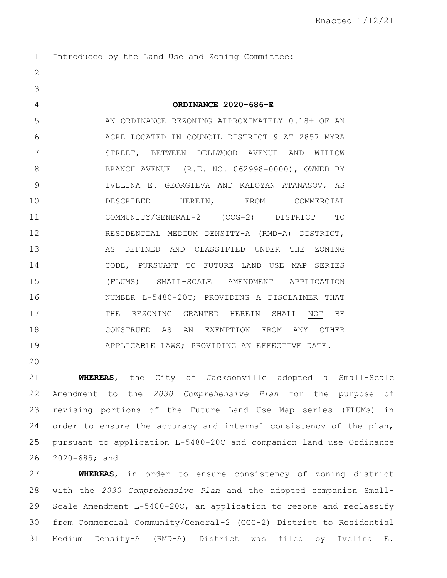1 Introduced by the Land Use and Zoning Committee:

2

3

20

4 **ORDINANCE 2020-686-E**

5 AN ORDINANCE REZONING APPROXIMATELY 0.18± OF AN 6 ACRE LOCATED IN COUNCIL DISTRICT 9 AT 2857 MYRA 7 STREET, BETWEEN DELLWOOD AVENUE AND WILLOW 8 BRANCH AVENUE (R.E. NO. 062998-0000), OWNED BY 9 IVELINA E. GEORGIEVA AND KALOYAN ATANASOV, AS 10 DESCRIBED HEREIN, FROM COMMERCIAL 11 COMMUNITY/GENERAL-2 (CCG-2) DISTRICT TO 12 RESIDENTIAL MEDIUM DENSITY-A (RMD-A) DISTRICT, 13 AS DEFINED AND CLASSIFIED UNDER THE ZONING 14 CODE, PURSUANT TO FUTURE LAND USE MAP SERIES 15 (FLUMS) SMALL-SCALE AMENDMENT APPLICATION 16 NUMBER L-5480-20C; PROVIDING A DISCLAIMER THAT 17 THE REZONING GRANTED HEREIN SHALL NOT BE 18 CONSTRUED AS AN EXEMPTION FROM ANY OTHER 19 APPLICABLE LAWS; PROVIDING AN EFFECTIVE DATE.

 **WHEREAS**, the City of Jacksonville adopted a Small-Scale Amendment to the *2030 Comprehensive Plan* for the purpose of revising portions of the Future Land Use Map series (FLUMs) in 24 order to ensure the accuracy and internal consistency of the plan, pursuant to application L-5480-20C and companion land use Ordinance 2020-685; and

 **WHEREAS**, in order to ensure consistency of zoning district with the *2030 Comprehensive Plan* and the adopted companion Small-29 Scale Amendment L-5480-20C, an application to rezone and reclassify from Commercial Community/General-2 (CCG-2) District to Residential Medium Density-A (RMD-A) District was filed by Ivelina E.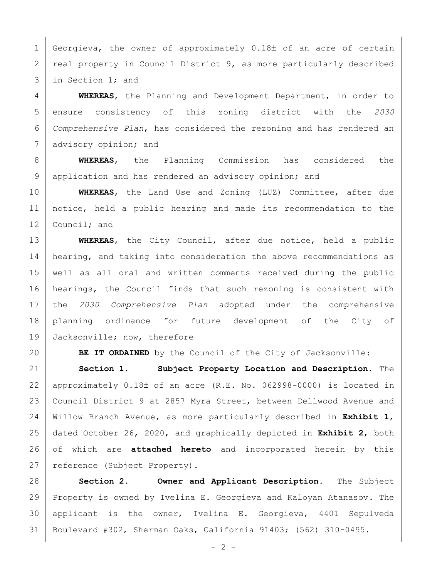1 Georgieva, the owner of approximately  $0.18\pm$  of an acre of certain 2 | real property in Council District 9, as more particularly described in Section 1; and

 **WHEREAS**, the Planning and Development Department, in order to ensure consistency of this zoning district with the *2030 Comprehensive Plan*, has considered the rezoning and has rendered an 7 advisory opinion; and

 **WHEREAS**, the Planning Commission has considered the 9 application and has rendered an advisory opinion; and

 **WHEREAS**, the Land Use and Zoning (LUZ) Committee, after due notice, held a public hearing and made its recommendation to the 12 Council; and

 **WHEREAS**, the City Council, after due notice, held a public 14 | hearing, and taking into consideration the above recommendations as well as all oral and written comments received during the public hearings, the Council finds that such rezoning is consistent with the *2030 Comprehensive Plan* adopted under the comprehensive planning ordinance for future development of the City of 19 Jacksonville; now, therefore

**BE IT ORDAINED** by the Council of the City of Jacksonville:

 **Section 1. Subject Property Location and Description.** The 22 | approximately  $0.18\pm$  of an acre (R.E. No. 062998-0000) is located in Council District 9 at 2857 Myra Street, between Dellwood Avenue and Willow Branch Avenue, as more particularly described in **Exhibit 1**, dated October 26, 2020, and graphically depicted in **Exhibit 2**, both of which are **attached hereto** and incorporated herein by this 27 | reference (Subject Property).

 **Section 2. Owner and Applicant Description.** The Subject Property is owned by Ivelina E. Georgieva and Kaloyan Atanasov. The applicant is the owner, Ivelina E. Georgieva, 4401 Sepulveda Boulevard #302, Sherman Oaks, California 91403; (562) 310-0495.

 $- 2 -$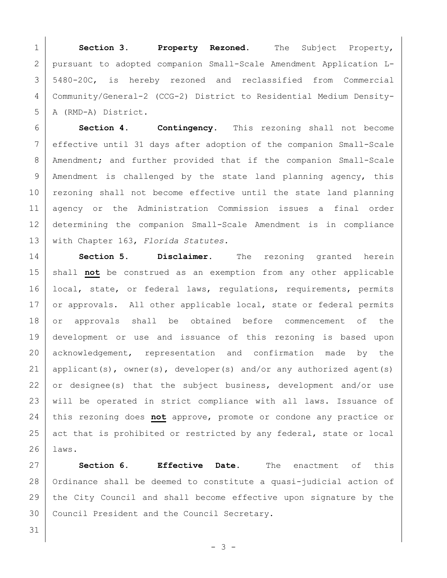**Section 3. Property Rezoned.** The Subject Property, pursuant to adopted companion Small-Scale Amendment Application L- 5480-20C, is hereby rezoned and reclassified from Commercial Community/General-2 (CCG-2) District to Residential Medium Density-A (RMD-A) District.

 **Section 4. Contingency.** This rezoning shall not become effective until 31 days after adoption of the companion Small-Scale 8 | Amendment; and further provided that if the companion Small-Scale 9 | Amendment is challenged by the state land planning agency, this 10 rezoning shall not become effective until the state land planning agency or the Administration Commission issues a final order determining the companion Small-Scale Amendment is in compliance with Chapter 163, *Florida Statutes.*

14 **Section 5. Disclaimer.** The rezoning granted herein 15 shall **not** be construed as an exemption from any other applicable 16 | local, state, or federal laws, regulations, requirements, permits 17 or approvals. All other applicable local, state or federal permits 18 or approvals shall be obtained before commencement of the 19 development or use and issuance of this rezoning is based upon 20 acknowledgement, representation and confirmation made by the 21 | applicant(s), owner(s), developer(s) and/or any authorized agent(s) 22 or designee(s) that the subject business, development and/or use 23 | will be operated in strict compliance with all laws. Issuance of 24 this rezoning does **not** approve, promote or condone any practice or 25 act that is prohibited or restricted by any federal, state or local 26 laws.

27 **Section 6. Effective Date.** The enactment of this 28 | Ordinance shall be deemed to constitute a quasi-judicial action of 29 the City Council and shall become effective upon signature by the 30 Council President and the Council Secretary.

- 3 -

31